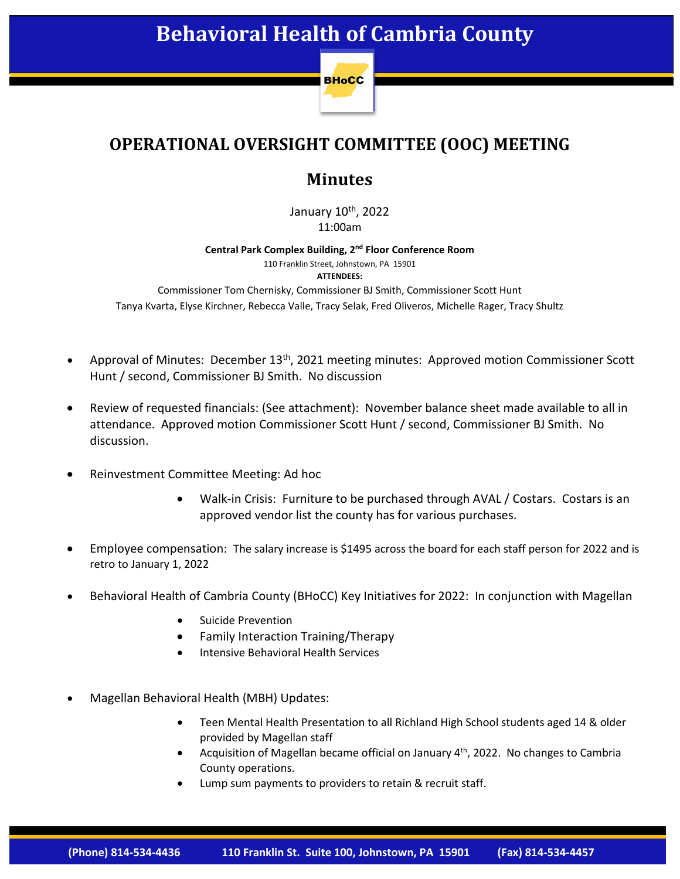

## **OPERATIONAL OVERSIGHT COMMITTEE (OOC) MEETING**

## **Minutes**

January 10<sup>th</sup>, 2022 11:00am

**Central Park Complex Building, 2nd Floor Conference Room** 

110 Franklin Street, Johnstown, PA 15901 **ATTENDEES:**

Commissioner Tom Chernisky, Commissioner BJ Smith, Commissioner Scott Hunt Tanya Kvarta, Elyse Kirchner, Rebecca Valle, Tracy Selak, Fred Oliveros, Michelle Rager, Tracy Shultz

- Approval of Minutes: December 13<sup>th</sup>, 2021 meeting minutes: Approved motion Commissioner Scott Hunt / second, Commissioner BJ Smith. No discussion
- Review of requested financials: (See attachment): November balance sheet made available to all in attendance. Approved motion Commissioner Scott Hunt / second, Commissioner BJ Smith. No discussion.
- Reinvestment Committee Meeting: Ad hoc
	- Walk-in Crisis: Furniture to be purchased through AVAL / Costars. Costars is an approved vendor list the county has for various purchases.
- Employee compensation: The salary increase is \$1495 across the board for each staff person for 2022 and is retro to January 1, 2022
- Behavioral Health of Cambria County (BHoCC) Key Initiatives for 2022: In conjunction with Magellan
	- Suicide Prevention
	- Family Interaction Training/Therapy
	- Intensive Behavioral Health Services
- Magellan Behavioral Health (MBH) Updates:
	- Teen Mental Health Presentation to all Richland High School students aged 14 & older provided by Magellan staff
	- Acquisition of Magellan became official on January  $4<sup>th</sup>$ , 2022. No changes to Cambria County operations.
	- Lump sum payments to providers to retain & recruit staff.